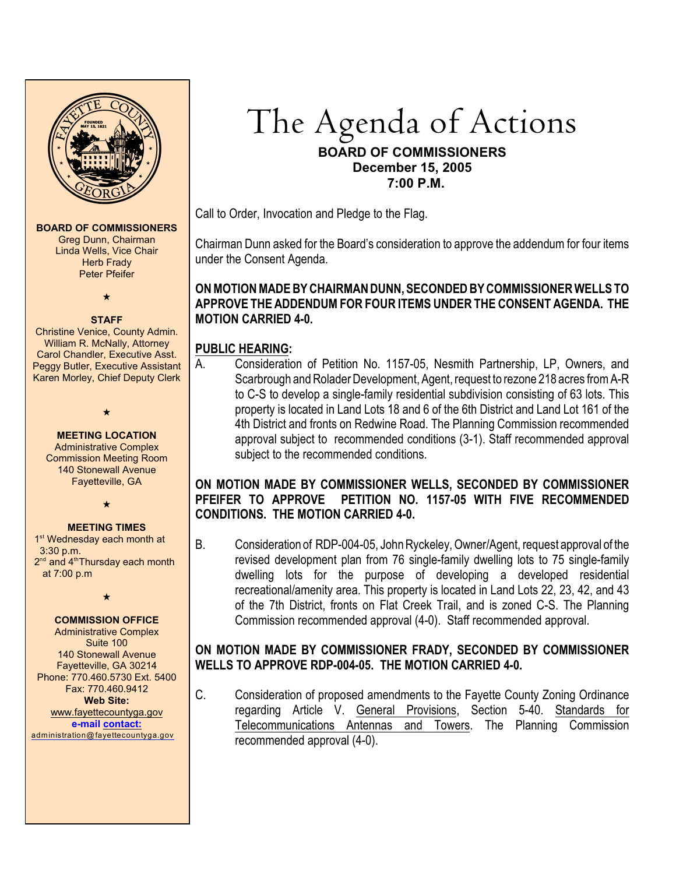

# The Agenda of Actions **BOARD OF COMMISSIONERS December 15, 2005 7:00 P.M.**

Call to Order, Invocation and Pledge to the Flag.

Chairman Dunn asked for the Board's consideration to approve the addendum for four items under the Consent Agenda.

# **ON MOTION MADE BY CHAIRMAN DUNN, SECONDED BY COMMISSIONER WELLS TO APPROVE THE ADDENDUM FOR FOUR ITEMS UNDER THE CONSENT AGENDA. THE MOTION CARRIED 4-0.**

# **PUBLIC HEARING:**

A. Consideration of Petition No. 1157-05, Nesmith Partnership, LP, Owners, and Scarbrough and Rolader Development, Agent, request to rezone 218 acres from A-R to C-S to develop a single-family residential subdivision consisting of 63 lots. This property is located in Land Lots 18 and 6 of the 6th District and Land Lot 161 of the 4th District and fronts on Redwine Road. The Planning Commission recommended approval subject to recommended conditions (3-1). Staff recommended approval subject to the recommended conditions.

## **ON MOTION MADE BY COMMISSIONER WELLS, SECONDED BY COMMISSIONER PFEIFER TO APPROVE PETITION NO. 1157-05 WITH FIVE RECOMMENDED CONDITIONS. THE MOTION CARRIED 4-0.**

B. Consideration of RDP-004-05, John Ryckeley, Owner/Agent, request approval of the revised development plan from 76 single-family dwelling lots to 75 single-family dwelling lots for the purpose of developing a developed residential recreational/amenity area. This property is located in Land Lots 22, 23, 42, and 43 of the 7th District, fronts on Flat Creek Trail, and is zoned C-S. The Planning Commission recommended approval (4-0). Staff recommended approval.

# **ON MOTION MADE BY COMMISSIONER FRADY, SECONDED BY COMMISSIONER WELLS TO APPROVE RDP-004-05. THE MOTION CARRIED 4-0.**

C. Consideration of proposed amendments to the Fayette County Zoning Ordinance regarding Article V. General Provisions, Section 5-40. Standards for Telecommunications Antennas and Towers. The Planning Commission recommended approval (4-0).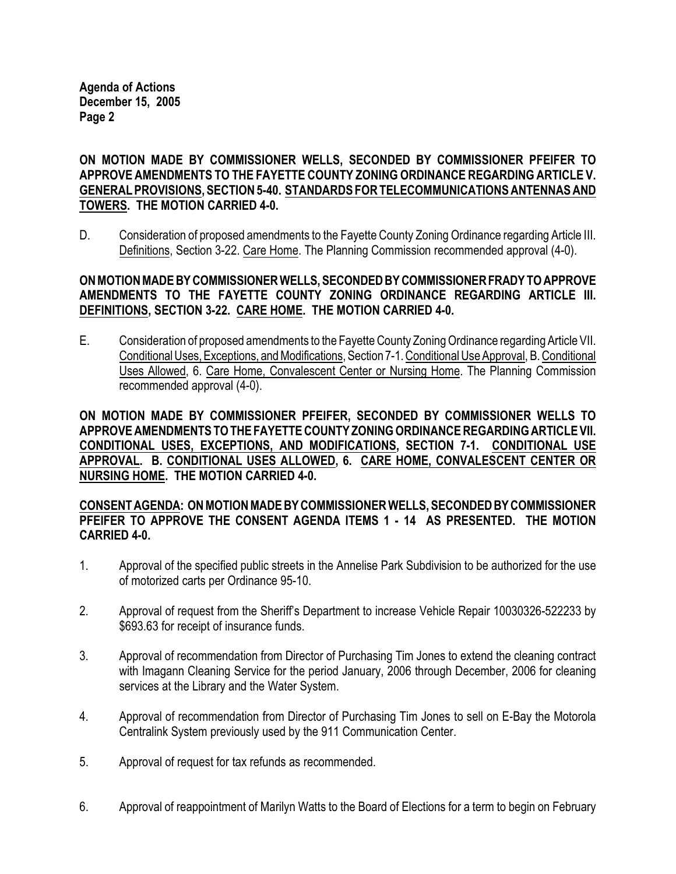**Agenda of Actions December 15, 2005 Page 2**

**ON MOTION MADE BY COMMISSIONER WELLS, SECONDED BY COMMISSIONER PFEIFER TO APPROVE AMENDMENTS TO THE FAYETTE COUNTY ZONING ORDINANCE REGARDING ARTICLE V. GENERAL PROVISIONS, SECTION 5-40. STANDARDS FOR TELECOMMUNICATIONS ANTENNAS AND TOWERS. THE MOTION CARRIED 4-0.** 

D. Consideration of proposed amendments to the Fayette County Zoning Ordinance regarding Article III. Definitions, Section 3-22. Care Home. The Planning Commission recommended approval (4-0).

## **ON MOTION MADE BY COMMISSIONER WELLS, SECONDED BY COMMISSIONER FRADY TO APPROVE AMENDMENTS TO THE FAYETTE COUNTY ZONING ORDINANCE REGARDING ARTICLE III. DEFINITIONS, SECTION 3-22. CARE HOME. THE MOTION CARRIED 4-0.**

E. Consideration of proposed amendments to the Fayette County Zoning Ordinance regarding Article VII. Conditional Uses, Exceptions, and Modifications, Section 7-1. Conditional Use Approval, B. Conditional Uses Allowed, 6. Care Home, Convalescent Center or Nursing Home. The Planning Commission recommended approval (4-0).

**ON MOTION MADE BY COMMISSIONER PFEIFER, SECONDED BY COMMISSIONER WELLS TO APPROVE AMENDMENTS TO THE FAYETTE COUNTY ZONING ORDINANCE REGARDING ARTICLE VII. CONDITIONAL USES, EXCEPTIONS, AND MODIFICATIONS, SECTION 7-1. CONDITIONAL USE APPROVAL. B. CONDITIONAL USES ALLOWED, 6. CARE HOME, CONVALESCENT CENTER OR NURSING HOME. THE MOTION CARRIED 4-0.**

## **CONSENT AGENDA: ON MOTION MADE BY COMMISSIONER WELLS, SECONDED BY COMMISSIONER PFEIFER TO APPROVE THE CONSENT AGENDA ITEMS 1 - 14 AS PRESENTED. THE MOTION CARRIED 4-0.**

- 1. Approval of the specified public streets in the Annelise Park Subdivision to be authorized for the use of motorized carts per Ordinance 95-10.
- 2. Approval of request from the Sheriff's Department to increase Vehicle Repair 10030326-522233 by \$693.63 for receipt of insurance funds.
- 3. Approval of recommendation from Director of Purchasing Tim Jones to extend the cleaning contract with Imagann Cleaning Service for the period January, 2006 through December, 2006 for cleaning services at the Library and the Water System.
- 4. Approval of recommendation from Director of Purchasing Tim Jones to sell on E-Bay the Motorola Centralink System previously used by the 911 Communication Center.
- 5. Approval of request for tax refunds as recommended.
- 6. Approval of reappointment of Marilyn Watts to the Board of Elections for a term to begin on February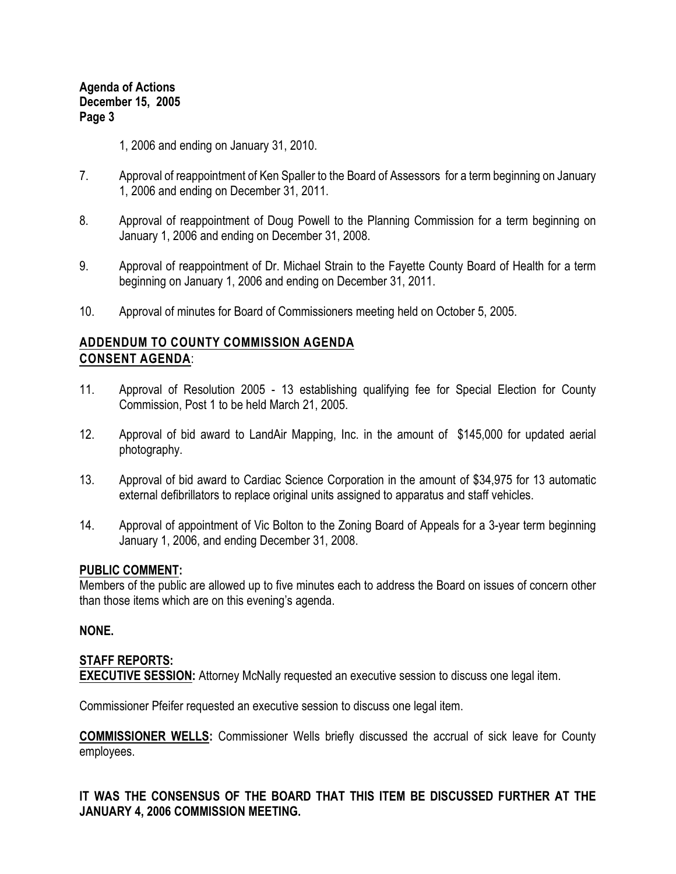1, 2006 and ending on January 31, 2010.

- 7. Approval of reappointment of Ken Spaller to the Board of Assessors for a term beginning on January 1, 2006 and ending on December 31, 2011.
- 8. Approval of reappointment of Doug Powell to the Planning Commission for a term beginning on January 1, 2006 and ending on December 31, 2008.
- 9. Approval of reappointment of Dr. Michael Strain to the Fayette County Board of Health for a term beginning on January 1, 2006 and ending on December 31, 2011.
- 10. Approval of minutes for Board of Commissioners meeting held on October 5, 2005.

# **ADDENDUM TO COUNTY COMMISSION AGENDA CONSENT AGENDA**:

- 11. Approval of Resolution 2005 13 establishing qualifying fee for Special Election for County Commission, Post 1 to be held March 21, 2005.
- 12. Approval of bid award to LandAir Mapping, Inc. in the amount of \$145,000 for updated aerial photography.
- 13. Approval of bid award to Cardiac Science Corporation in the amount of \$34,975 for 13 automatic external defibrillators to replace original units assigned to apparatus and staff vehicles.
- 14. Approval of appointment of Vic Bolton to the Zoning Board of Appeals for a 3-year term beginning January 1, 2006, and ending December 31, 2008.

#### **PUBLIC COMMENT:**

Members of the public are allowed up to five minutes each to address the Board on issues of concern other than those items which are on this evening's agenda.

# **NONE.**

# **STAFF REPORTS:**

**EXECUTIVE SESSION:** Attorney McNally requested an executive session to discuss one legal item.

Commissioner Pfeifer requested an executive session to discuss one legal item.

**COMMISSIONER WELLS:** Commissioner Wells briefly discussed the accrual of sick leave for County employees.

# **IT WAS THE CONSENSUS OF THE BOARD THAT THIS ITEM BE DISCUSSED FURTHER AT THE JANUARY 4, 2006 COMMISSION MEETING.**